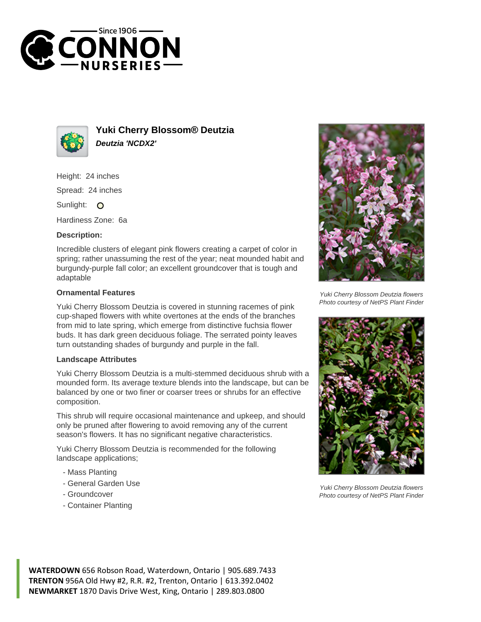



**Yuki Cherry Blossom® Deutzia Deutzia 'NCDX2'**

Height: 24 inches Spread: 24 inches

Sunlight: O

Hardiness Zone: 6a

## **Description:**

Incredible clusters of elegant pink flowers creating a carpet of color in spring; rather unassuming the rest of the year; neat mounded habit and burgundy-purple fall color; an excellent groundcover that is tough and adaptable

## **Ornamental Features**

Yuki Cherry Blossom Deutzia is covered in stunning racemes of pink cup-shaped flowers with white overtones at the ends of the branches from mid to late spring, which emerge from distinctive fuchsia flower buds. It has dark green deciduous foliage. The serrated pointy leaves turn outstanding shades of burgundy and purple in the fall.

## **Landscape Attributes**

Yuki Cherry Blossom Deutzia is a multi-stemmed deciduous shrub with a mounded form. Its average texture blends into the landscape, but can be balanced by one or two finer or coarser trees or shrubs for an effective composition.

This shrub will require occasional maintenance and upkeep, and should only be pruned after flowering to avoid removing any of the current season's flowers. It has no significant negative characteristics.

Yuki Cherry Blossom Deutzia is recommended for the following landscape applications;

- Mass Planting
- General Garden Use
- Groundcover
- Container Planting



Yuki Cherry Blossom Deutzia flowers Photo courtesy of NetPS Plant Finder



Yuki Cherry Blossom Deutzia flowers Photo courtesy of NetPS Plant Finder

**WATERDOWN** 656 Robson Road, Waterdown, Ontario | 905.689.7433 **TRENTON** 956A Old Hwy #2, R.R. #2, Trenton, Ontario | 613.392.0402 **NEWMARKET** 1870 Davis Drive West, King, Ontario | 289.803.0800